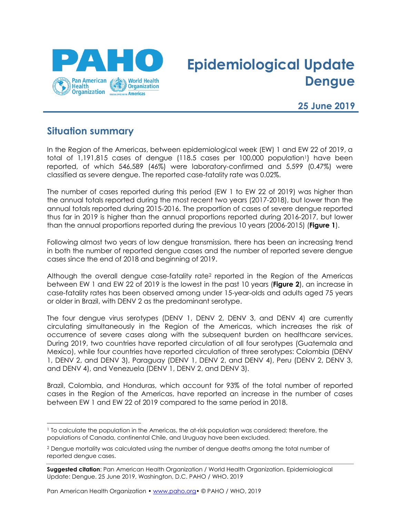

# **Epidemiological Update Dengue**

**25 June 2019**

### **Situation summary**

 $\overline{a}$ 

In the Region of the Americas, between epidemiological week (EW) 1 and EW 22 of 2019, a total of 1,191,815 cases of dengue (118.5 cases per 100,000 population<sup>1</sup>) have been reported, of which 546,589 (46%) were laboratory-confirmed and 5,599 (0.47%) were classified as severe dengue. The reported case-fatality rate was 0.02%.

The number of cases reported during this period (EW 1 to EW 22 of 2019) was higher than the annual totals reported during the most recent two years (2017-2018), but lower than the annual totals reported during 2015-2016. The proportion of cases of severe dengue reported thus far in 2019 is higher than the annual proportions reported during 2016-2017, but lower than the annual proportions reported during the previous 10 years (2006-2015) (**Figure 1**).

Following almost two years of low dengue transmission, there has been an increasing trend in both the number of reported dengue cases and the number of reported severe dengue cases since the end of 2018 and beginning of 2019.

Although the overall dengue case-fatality rate<sup>2</sup> reported in the Region of the Americas between EW 1 and EW 22 of 2019 is the lowest in the past 10 years (**Figure 2**), an increase in case-fatality rates has been observed among under 15-year-olds and adults aged 75 years or older in Brazil, with DENV 2 as the predominant serotype.

The four dengue virus serotypes (DENV 1, DENV 2, DENV 3, and DENV 4) are currently circulating simultaneously in the Region of the Americas, which increases the risk of occurrence of severe cases along with the subsequent burden on healthcare services. During 2019, two countries have reported circulation of all four serotypes (Guatemala and Mexico), while four countries have reported circulation of three serotypes: Colombia (DENV 1, DENV 2, and DENV 3), Paraguay (DENV 1, DENV 2, and DENV 4), Peru (DENV 2, DENV 3, and DENV 4), and Venezuela (DENV 1, DENV 2, and DENV 3).

Brazil, Colombia, and Honduras, which account for 93% of the total number of reported cases in the Region of the Americas, have reported an increase in the number of cases between EW 1 and EW 22 of 2019 compared to the same period in 2018.

Pan American Health Organization • [www.paho.org](http://www.paho.org/)• © PAHO / WHO, 2019

<sup>1</sup> To calculate the population in the Americas, the at-risk population was considered; therefore, the populations of Canada, continental Chile, and Uruguay have been excluded.

<sup>2</sup> Dengue mortality was calculated using the number of dengue deaths among the total number of reported dengue cases.

**Suggested citation**: Pan American Health Organization / World Health Organization. Epidemiological Update: Dengue. 25 June 2019, Washington, D.C. PAHO / WHO. 2019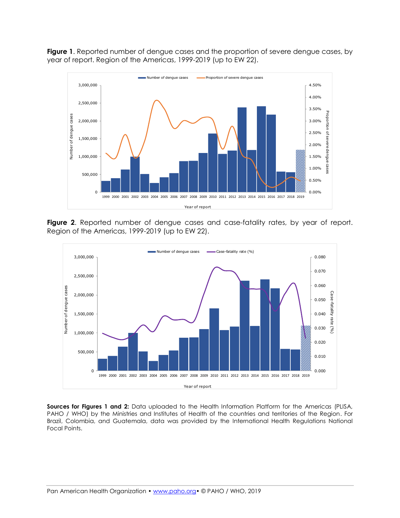**Figure 1**. Reported number of dengue cases and the proportion of severe dengue cases, by year of report. Region of the Americas, 1999-2019 (up to EW 22).



**Figure 2**. Reported number of dengue cases and case-fatality rates, by year of report. Region of the Americas, 1999-2019 (up to EW 22).

![](_page_1_Figure_3.jpeg)

**Sources for Figures 1 and 2:** Data uploaded to the Health Information Platform for the Americas (PLISA, PAHO / WHO) by the Ministries and Institutes of Health of the countries and territories of the Region. For Brazil, Colombia, and Guatemala, data was provided by the International Health Regulations National Focal Points.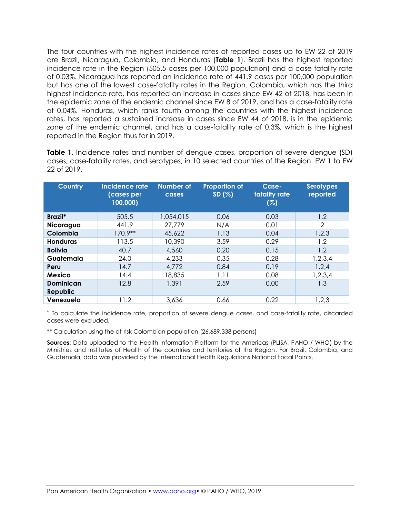The four countries with the highest incidence rates of reported cases up to EW 22 of 2019 are Brazil, Nicaragua, Colombia, and Honduras (**Table 1**). Brazil has the highest reported incidence rate in the Region (505.5 cases per 100,000 population) and a case-fatality rate of 0.03%. Nicaragua has reported an incidence rate of 441.9 cases per 100,000 population but has one of the lowest case-fatality rates in the Region. Colombia, which has the third highest incidence rate, has reported an increase in cases since EW 42 of 2018, has been in the epidemic zone of the endemic channel since EW 8 of 2019, and has a case-fatality rate of 0.04%. Honduras, which ranks fourth among the countries with the highest incidence rates, has reported a sustained increase in cases since EW 44 of 2018, is in the epidemic zone of the endemic channel, and has a case-fatality rate of 0.3%, which is the highest reported in the Region thus far in 2019.

**Table 1**. Incidence rates and number of dengue cases, proportion of severe dengue (SD) cases, case-fatality rates, and serotypes, in 10 selected countries of the Region. EW 1 to EW 22 of 2019.

| <b>Country</b>               | Incidence rate<br>(cases per<br>100,000) | <b>Number of</b><br>cases | <b>Proportion of</b><br>SD(%) | Case-<br>fatality rate<br>(%) | <b>Serotypes</b><br>reported |
|------------------------------|------------------------------------------|---------------------------|-------------------------------|-------------------------------|------------------------------|
| Brazil*                      | 505.5                                    | 1,054,015                 | 0.06                          | 0.03                          | 1,2                          |
| Nicaragua                    | 441.9                                    | 27.779                    | N/A                           | 0.01                          | 2                            |
| Colombia                     | $170.9**$                                | 45,622                    | 1.13                          | 0.04                          | 1,2,3                        |
| <b>Honduras</b>              | 113.5                                    | 10,390                    | 3.59                          | 0.29                          | 1,2                          |
| <b>Bolivia</b>               | 40.7                                     | 4,560                     | 0.20                          | 0.15                          | 1,2                          |
| Guatemala                    | 24.0                                     | 4,233                     | 0.35                          | 0.28                          | 1,2,3,4                      |
| Peru                         | 14.7                                     | 4,772                     | 0.84                          | 0.19                          | 1,2,4                        |
| <b>Mexico</b>                | 14.4                                     | 18,835                    | 1.11                          | 0.08                          | 1,2,3,4                      |
| <b>Dominican</b><br>Republic | 12.8                                     | 1,391                     | 2.59                          | 0.00                          | 1,3                          |
| Venezuela                    | 11.2                                     | 3,636                     | 0.66                          | 0.22                          | 1,2,3                        |

\* To calculate the incidence rate, proportion of severe dengue cases, and case-fatality rate, discarded cases were excluded.

\*\* Calculation using the at-risk Colombian population (26,689,338 persons)

**Sources:** Data uploaded to the Health Information Platform for the Americas (PLISA, PAHO / WHO) by the Ministries and Institutes of Health of the countries and territories of the Region. For Brazil, Colombia, and Guatemala, data was provided by the International Health Regulations National Focal Points.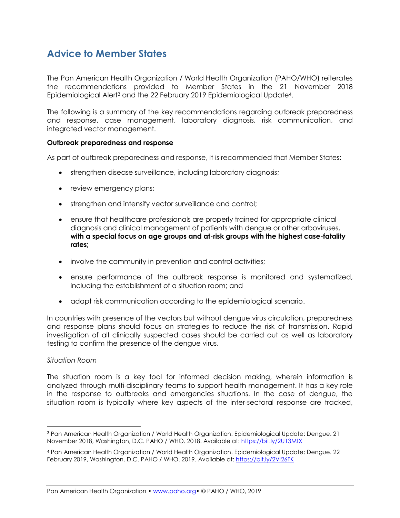# **Advice to Member States**

The Pan American Health Organization / World Health Organization (PAHO/WHO) reiterates the recommendations provided to Member States in the 21 November 2018 Epidemiological Alert<sup>3</sup> and the 22 February 2019 Epidemiological Update4.

The following is a summary of the key recommendations regarding outbreak preparedness and response, case management, laboratory diagnosis, risk communication, and integrated vector management.

#### **Outbreak preparedness and response**

As part of outbreak preparedness and response, it is recommended that Member States:

- strengthen disease surveillance, including laboratory diagnosis;
- review emergency plans;
- strengthen and intensify vector surveillance and control;
- ensure that healthcare professionals are properly trained for appropriate clinical diagnosis and clinical management of patients with dengue or other arboviruses, **with a special focus on age groups and at-risk groups with the highest case-fatality rates;**
- involve the community in prevention and control activities;
- ensure performance of the outbreak response is monitored and systematized, including the establishment of a situation room; and
- adapt risk communication according to the epidemiological scenario.

In countries with presence of the vectors but without dengue virus circulation, preparedness and response plans should focus on strategies to reduce the risk of transmission. Rapid investigation of all clinically suspected cases should be carried out as well as laboratory testing to confirm the presence of the dengue virus.

#### *Situation Room*

 $\overline{a}$ 

The situation room is a key tool for informed decision making, wherein information is analyzed through multi-disciplinary teams to support health management. It has a key role in the response to outbreaks and emergencies situations. In the case of dengue, the situation room is typically where key aspects of the inter-sectoral response are tracked,

<sup>3</sup> Pan American Health Organization / World Health Organization. Epidemiological Update: Dengue. 21 November 2018, Washington, D.C. PAHO / WHO. 2018. Available at[: https://bit.ly/2U13MtX](https://bit.ly/2U13MtX)

<sup>4</sup> Pan American Health Organization / World Health Organization. Epidemiological Update: Dengue. 22 February 2019, Washington, D.C. PAHO / WHO. 2019. Available at:<https://bit.ly/2VI26FK>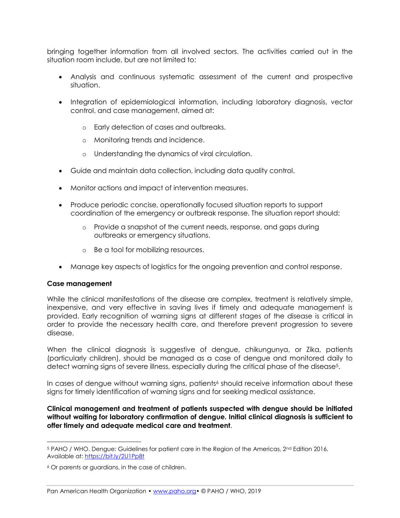bringing together information from all involved sectors. The activities carried out in the situation room include, but are not limited to:

- Analysis and continuous systematic assessment of the current and prospective situation.
- Integration of epidemiological information, including laboratory diagnosis, vector control, and case management, aimed at:
	- o Early detection of cases and outbreaks.
	- o Monitoring trends and incidence.
	- o Understanding the dynamics of viral circulation.
- Guide and maintain data collection, including data quality control.
- Monitor actions and impact of intervention measures.
- Produce periodic concise, operationally focused situation reports to support coordination of the emergency or outbreak response. The situation report should:
	- o Provide a snapshot of the current needs, response, and gaps during outbreaks or emergency situations.
	- o Be a tool for mobilizing resources.
- Manage key aspects of logistics for the ongoing prevention and control response.

#### **Case management**

 $\overline{a}$ 

While the clinical manifestations of the disease are complex, treatment is relatively simple, inexpensive, and very effective in saving lives if timely and adequate management is provided. Early recognition of warning signs at different stages of the disease is critical in order to provide the necessary health care, and therefore prevent progression to severe disease.

When the clinical diagnosis is suggestive of dengue, chikungunya, or Zika, patients (particularly children), should be managed as a case of dengue and monitored daily to detect warning signs of severe illness, especially during the critical phase of the disease<sup>5</sup>.

In cases of dengue without warning signs, patients<sup>6</sup> should receive information about these signs for timely identification of warning signs and for seeking medical assistance.

**Clinical management and treatment of patients suspected with dengue should be initiated without waiting for laboratory confirmation of dengue. Initial clinical diagnosis is sufficient to offer timely and adequate medical care and treatment**.

 $5$  PAHO / WHO. Dengue: Guidelines for patient care in the Region of the Americas,  $2<sup>nd</sup>$  Edition 2016. Available at:<https://bit.ly/2U1Pp8t>

<sup>6</sup> Or parents or guardians, in the case of children.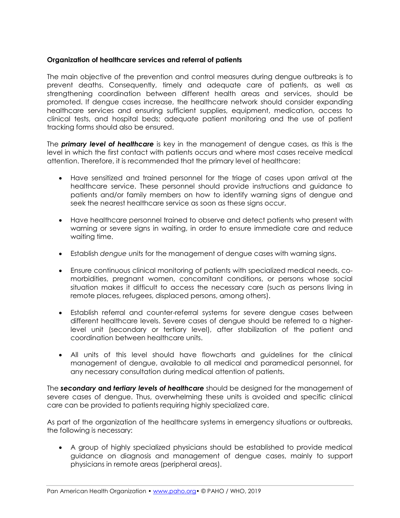#### **Organization of healthcare services and referral of patients**

The main objective of the prevention and control measures during dengue outbreaks is to prevent deaths. Consequently, timely and adequate care of patients, as well as strengthening coordination between different health areas and services, should be promoted. If dengue cases increase, the healthcare network should consider expanding healthcare services and ensuring sufficient supplies, equipment, medication, access to clinical tests, and hospital beds; adequate patient monitoring and the use of patient tracking forms should also be ensured.

The *primary level of healthcare* is key in the management of dengue cases, as this is the level in which the first contact with patients occurs and where most cases receive medical attention. Therefore, it is recommended that the primary level of healthcare:

- Have sensitized and trained personnel for the triage of cases upon arrival at the healthcare service. These personnel should provide instructions and guidance to patients and/or family members on how to identify warning signs of dengue and seek the nearest healthcare service as soon as these signs occur.
- Have healthcare personnel trained to observe and detect patients who present with warning or severe signs in waiting, in order to ensure immediate care and reduce waiting time.
- Establish *dengue units* for the management of dengue cases with warning signs.
- Ensure continuous clinical monitoring of patients with specialized medical needs, comorbidities, pregnant women, concomitant conditions, or persons whose social situation makes it difficult to access the necessary care (such as persons living in remote places, refugees, displaced persons, among others).
- Establish referral and counter-referral systems for severe dengue cases between different healthcare levels. Severe cases of dengue should be referred to a higherlevel unit (secondary or tertiary level), after stabilization of the patient and coordination between healthcare units.
- All units of this level should have flowcharts and guidelines for the clinical management of dengue, available to all medical and paramedical personnel, for any necessary consultation during medical attention of patients.

The *secondary* **and** *tertiary levels of healthcare* should be designed for the management of severe cases of dengue. Thus, overwhelming these units is avoided and specific clinical care can be provided to patients requiring highly specialized care.

As part of the organization of the healthcare systems in emergency situations or outbreaks, the following is necessary:

• A group of highly specialized physicians should be established to provide medical guidance on diagnosis and management of dengue cases, mainly to support physicians in remote areas (peripheral areas).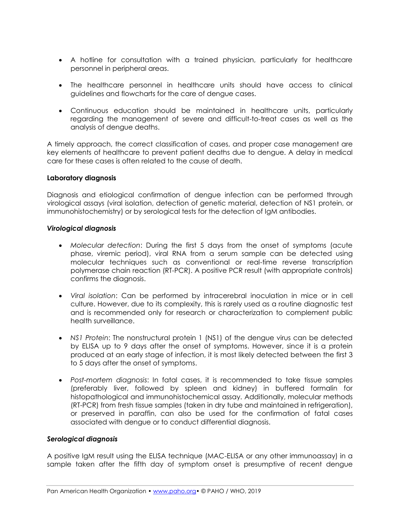- A hotline for consultation with a trained physician, particularly for healthcare personnel in peripheral areas.
- The healthcare personnel in healthcare units should have access to clinical guidelines and flowcharts for the care of dengue cases.
- Continuous education should be maintained in healthcare units, particularly regarding the management of severe and difficult-to-treat cases as well as the analysis of dengue deaths.

A timely approach, the correct classification of cases, and proper case management are key elements of healthcare to prevent patient deaths due to dengue. A delay in medical care for these cases is often related to the cause of death.

#### **Laboratory diagnosis**

Diagnosis and etiological confirmation of dengue infection can be performed through virological assays (viral isolation, detection of genetic material, detection of NS1 protein, or immunohistochemistry) or by serological tests for the detection of IgM antibodies.

#### *Virological diagnosis*

- *Molecular detection*: During the first 5 days from the onset of symptoms (acute phase, viremic period), viral RNA from a serum sample can be detected using molecular techniques such as conventional or real-time reverse transcription polymerase chain reaction (RT-PCR). A positive PCR result (with appropriate controls) confirms the diagnosis.
- *Viral isolation*: Can be performed by intracerebral inoculation in mice or in cell culture. However, due to its complexity, this is rarely used as a routine diagnostic test and is recommended only for research or characterization to complement public health surveillance.
- *NS1 Protein*: The nonstructural protein 1 (NS1) of the dengue virus can be detected by ELISA up to 9 days after the onset of symptoms. However, since it is a protein produced at an early stage of infection, it is most likely detected between the first 3 to 5 days after the onset of symptoms.
- *Post-mortem diagnosis*: In fatal cases, it is recommended to take tissue samples (preferably liver, followed by spleen and kidney) in buffered formalin for histopathological and immunohistochemical assay. Additionally, molecular methods (RT-PCR) from fresh tissue samples (taken in dry tube and maintained in refrigeration), or preserved in paraffin, can also be used for the confirmation of fatal cases associated with dengue or to conduct differential diagnosis.

#### *Serological diagnosis*

A positive IgM result using the ELISA technique (MAC-ELISA or any other immunoassay) in a sample taken after the fifth day of symptom onset is presumptive of recent dengue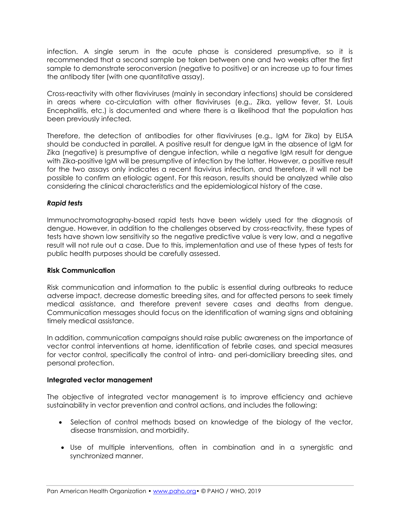infection. A single serum in the acute phase is considered presumptive, so it is recommended that a second sample be taken between one and two weeks after the first sample to demonstrate seroconversion (negative to positive) or an increase up to four times the antibody titer (with one quantitative assay).

Cross-reactivity with other flaviviruses (mainly in secondary infections) should be considered in areas where co-circulation with other flaviviruses (e.g., Zika, yellow fever, St. Louis Encephalitis, etc.) is documented and where there is a likelihood that the population has been previously infected.

Therefore, the detection of antibodies for other flaviviruses (e.g., IgM for Zika) by ELISA should be conducted in parallel. A positive result for dengue IgM in the absence of IgM for Zika (negative) is presumptive of dengue infection, while a negative IgM result for dengue with Zika-positive IgM will be presumptive of infection by the latter. However, a positive result for the two assays only indicates a recent flavivirus infection, and therefore, it will not be possible to confirm an etiologic agent. For this reason, results should be analyzed while also considering the clinical characteristics and the epidemiological history of the case.

#### *Rapid tests*

Immunochromatography-based rapid tests have been widely used for the diagnosis of dengue. However, in addition to the challenges observed by cross-reactivity, these types of tests have shown low sensitivity so the negative predictive value is very low, and a negative result will not rule out a case. Due to this, implementation and use of these types of tests for public health purposes should be carefully assessed.

#### **Risk Communication**

Risk communication and information to the public is essential during outbreaks to reduce adverse impact, decrease domestic breeding sites, and for affected persons to seek timely medical assistance, and therefore prevent severe cases and deaths from dengue. Communication messages should focus on the identification of warning signs and obtaining timely medical assistance.

In addition, communication campaigns should raise public awareness on the importance of vector control interventions at home, identification of febrile cases, and special measures for vector control, specifically the control of intra- and peri-domiciliary breeding sites, and personal protection.

#### **Integrated vector management**

The objective of integrated vector management is to improve efficiency and achieve sustainability in vector prevention and control actions, and includes the following:

- Selection of control methods based on knowledge of the biology of the vector, disease transmission, and morbidity.
- Use of multiple interventions, often in combination and in a synergistic and synchronized manner.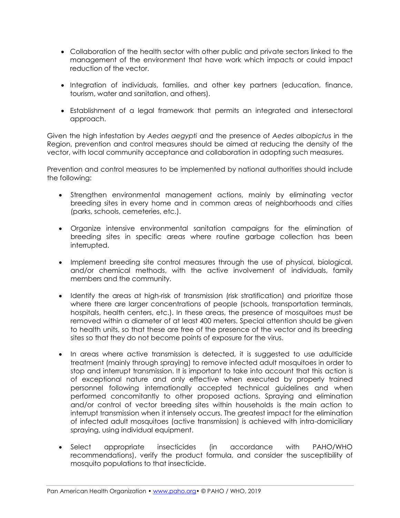- Collaboration of the health sector with other public and private sectors linked to the management of the environment that have work which impacts or could impact reduction of the vector.
- Integration of individuals, families, and other key partners (education, finance, tourism, water and sanitation, and others).
- Establishment of a legal framework that permits an integrated and intersectoral approach.

Given the high infestation by *Aedes aegypti* and the presence of *Aedes albopictus* in the Region, prevention and control measures should be aimed at reducing the density of the vector, with local community acceptance and collaboration in adopting such measures.

Prevention and control measures to be implemented by national authorities should include the following:

- Strengthen environmental management actions, mainly by eliminating vector breeding sites in every home and in common areas of neighborhoods and cities (parks, schools, cemeteries, etc.).
- Organize intensive environmental sanitation campaigns for the elimination of breeding sites in specific areas where routine garbage collection has been interrupted.
- Implement breeding site control measures through the use of physical, biological, and/or chemical methods, with the active involvement of individuals, family members and the community.
- Identify the areas at high-risk of transmission (risk stratification) and prioritize those where there are larger concentrations of people (schools, transportation terminals, hospitals, health centers, etc.). In these areas, the presence of mosquitoes must be removed within a diameter of at least 400 meters. Special attention should be given to health units, so that these are free of the presence of the vector and its breeding sites so that they do not become points of exposure for the virus.
- In areas where active transmission is detected, it is suggested to use adulticide treatment (mainly through spraying) to remove infected adult mosquitoes in order to stop and interrupt transmission. It is important to take into account that this action is of exceptional nature and only effective when executed by properly trained personnel following internationally accepted technical guidelines and when performed concomitantly to other proposed actions. Spraying and elimination and/or control of vector breeding sites within households is the main action to interrupt transmission when it intensely occurs. The greatest impact for the elimination of infected adult mosquitoes (active transmission) is achieved with intra-domiciliary spraying, using individual equipment.
- Select appropriate insecticides (in accordance with PAHO/WHO recommendations), verify the product formula, and consider the susceptibility of mosquito populations to that insecticide.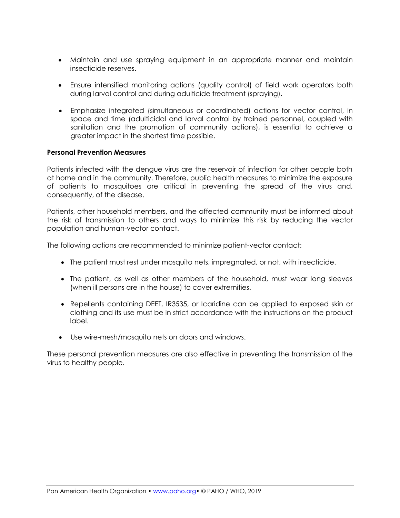- Maintain and use spraying equipment in an appropriate manner and maintain insecticide reserves.
- Ensure intensified monitoring actions (quality control) of field work operators both during larval control and during adulticide treatment (spraying).
- Emphasize integrated (simultaneous or coordinated) actions for vector control, in space and time (adulticidal and larval control by trained personnel, coupled with sanitation and the promotion of community actions), is essential to achieve a greater impact in the shortest time possible.

#### **Personal Prevention Measures**

Patients infected with the dengue virus are the reservoir of infection for other people both at home and in the community. Therefore, public health measures to minimize the exposure of patients to mosquitoes are critical in preventing the spread of the virus and, consequently, of the disease.

Patients, other household members, and the affected community must be informed about the risk of transmission to others and ways to minimize this risk by reducing the vector population and human-vector contact.

The following actions are recommended to minimize patient-vector contact:

- The patient must rest under mosquito nets, impregnated, or not, with insecticide.
- The patient, as well as other members of the household, must wear long sleeves (when ill persons are in the house) to cover extremities.
- Repellents containing DEET, IR3535, or Icaridine can be applied to exposed skin or clothing and its use must be in strict accordance with the instructions on the product label.
- Use wire-mesh/mosquito nets on doors and windows.

These personal prevention measures are also effective in preventing the transmission of the virus to healthy people.